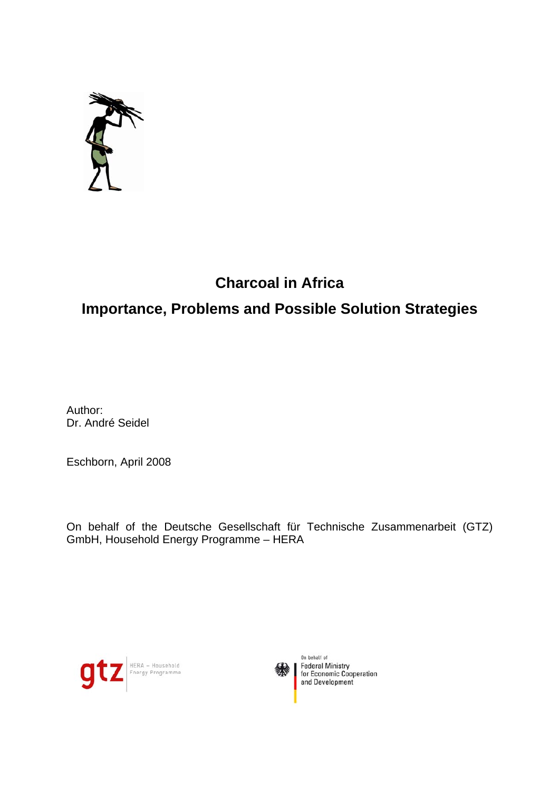

## **Charcoal in Africa**

# **Importance, Problems and Possible Solution Strategies**

Author: Dr. André Seidel

Eschborn, April 2008

On behalf of the Deutsche Gesellschaft für Technische Zusammenarbeit (GTZ) GmbH, Household Energy Programme – HERA





On behalf of Federal Ministry<br>for Economic Cooperation and Development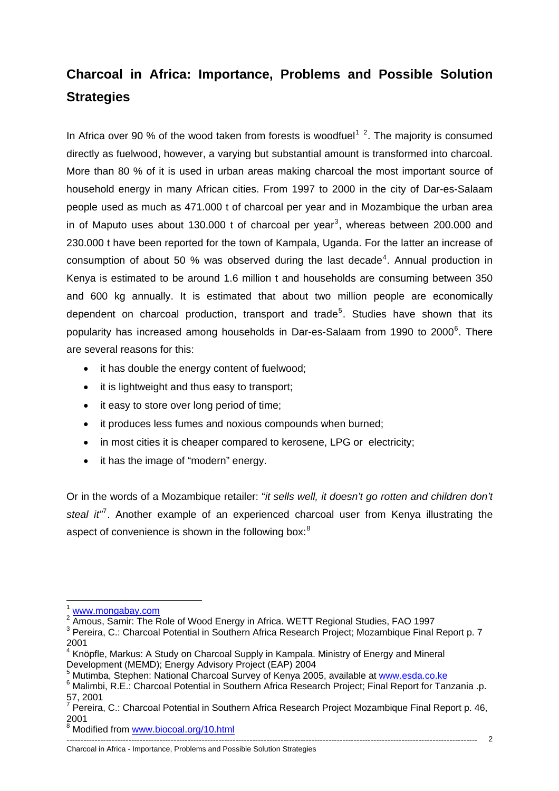# **Charcoal in Africa: Importance, Problems and Possible Solution Strategies**

In Africa over 90 % of the wood taken from forests is woodfuel<sup>[1](#page-1-0)[2](#page-1-1)</sup>. The majority is consumed directly as fuelwood, however, a varying but substantial amount is transformed into charcoal. More than 80 % of it is used in urban areas making charcoal the most important source of household energy in many African cities. From 1997 to 2000 in the city of Dar-es-Salaam people used as much as 471.000 t of charcoal per year and in Mozambique the urban area in of Maputo uses about 1[3](#page-1-2)0.000 t of charcoal per year<sup>3</sup>, whereas between 200.000 and 230.000 t have been reported for the town of Kampala, Uganda. For the latter an increase of consumption of about 50 % was observed during the last decade<sup>[4](#page-1-3)</sup>. Annual production in Kenya is estimated to be around 1.6 million t and households are consuming between 350 and 600 kg annually. It is estimated that about two million people are economically dependent on charcoal production, transport and trade<sup>[5](#page-1-4)</sup>. Studies have shown that its popularity has increased among households in Dar-es-Salaam from 1990 to 2000 $^6$  $^6$ . There are several reasons for this:

- it has double the energy content of fuelwood;
- it is lightweight and thus easy to transport;
- it easy to store over long period of time;
- it produces less fumes and noxious compounds when burned;
- in most cities it is cheaper compared to kerosene, LPG or electricity;
- it has the image of "modern" energy.

Or in the words of a Mozambique retailer: "*it sells well, it doesn't go rotten and children don't*  steal it<sup>"</sup>. Another example of an experienced charcoal user from Kenya illustrating the aspect of convenience is shown in the following box:<sup>[8](#page-1-7)</sup>

1

#### <span id="page-1-7"></span>-------------------------------------------------------------------------------------------------------------------------------------------------- Charcoal in Africa - Importance, Problems and Possible Solution Strategies

[www.mongabay.com](http://www.mongabay.com/)

<span id="page-1-1"></span><span id="page-1-0"></span><sup>&</sup>lt;sup>2</sup> Amous, Samir: The Role of Wood Energy in Africa. WETT Regional Studies, FAO 1997

<span id="page-1-2"></span><sup>&</sup>lt;sup>3</sup> Pereira, C.: Charcoal Potential in Southern Africa Research Project; Mozambique Final Report p. 7 2001

<span id="page-1-3"></span><sup>4</sup> Knöpfle, Markus: A Study on Charcoal Supply in Kampala. Ministry of Energy and Mineral Development (MEMD); Energy Advisory Project (EAP) 2004

<span id="page-1-4"></span><sup>&</sup>lt;sup>5</sup> Mutimba, Stephen: National Charcoal Survey of Kenya 2005, available at [www.esda.co.ke](http://www.esda.co.ke/)<br><sup>6</sup> Melimbi, B.E.: Charcoal Petential in Southern Africa Bessersh Project: Einel Benert for Ten

<span id="page-1-5"></span><sup>6</sup> Malimbi, R.E.: Charcoal Potential in Southern Africa Research Project; Final Report for Tanzania .p. 57, 2001

<span id="page-1-6"></span><sup>7</sup> Pereira, C.: Charcoal Potential in Southern Africa Research Project Mozambique Final Report p. 46, 2001

<sup>&</sup>lt;sup>8</sup> Modified from www.biocoal.org/10.html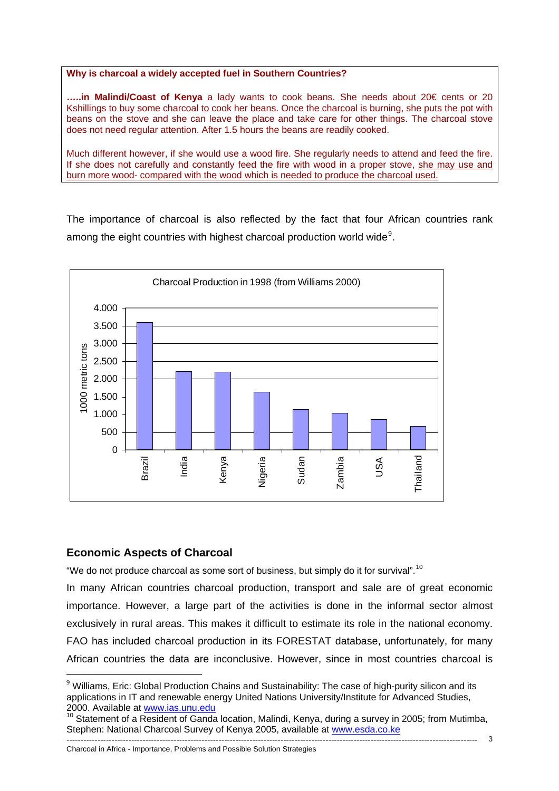#### **Why is charcoal a widely accepted fuel in Southern Countries?**

**…..in Malindi/Coast of Kenya** a lady wants to cook beans. She needs about 20€ cents or 20 Kshillings to buy some charcoal to cook her beans. Once the charcoal is burning, she puts the pot with beans on the stove and she can leave the place and take care for other things. The charcoal stove does not need regular attention. After 1.5 hours the beans are readily cooked.

Much different however, if she would use a wood fire. She regularly needs to attend and feed the fire. If she does not carefully and constantly feed the fire with wood in a proper stove, she may use and burn more wood- compared with the wood which is needed to produce the charcoal used.

The importance of charcoal is also reflected by the fact that four African countries rank among the eight countries with highest charcoal production world wide<sup>[9](#page-2-0)</sup>.



## **Economic Aspects of Charcoal**

1

"We do not produce charcoal as some sort of business, but simply do it for survival".<sup>[10](#page-2-1)</sup>

In many African countries charcoal production, transport and sale are of great economic importance. However, a large part of the activities is done in the informal sector almost exclusively in rural areas. This makes it difficult to estimate its role in the national economy. FAO has included charcoal production in its FORESTAT database, unfortunately, for many African countries the data are inconclusive. However, since in most countries charcoal is

<span id="page-2-0"></span> $9$  Williams. Eric: Global Production Chains and Sustainability: The case of high-purity silicon and its applications in IT and renewable energy United Nations University/Institute for Advanced Studies, 2000. Available at [www.ias.unu.edu](http://www.ias.unu.edu/)

<span id="page-2-1"></span><sup>10</sup> Statement of a Resident of Ganda location, Malindi, Kenya, during a survey in 2005; from Mutimba, Stephen: National Charcoal Survey of Kenya 2005, available at [www.esda.co.ke](http://www.esda.co.ke/)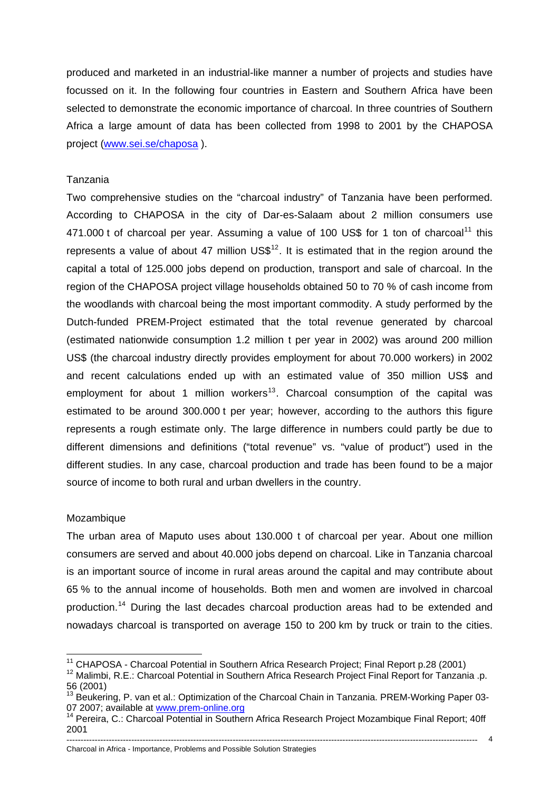produced and marketed in an industrial-like manner a number of projects and studies have focussed on it. In the following four countries in Eastern and Southern Africa have been selected to demonstrate the economic importance of charcoal. In three countries of Southern Africa a large amount of data has been collected from 1998 to 2001 by the CHAPOSA project ([www.sei.se/chaposa](http://www.sei.se/chaposa) ).

## Tanzania

Two comprehensive studies on the "charcoal industry" of Tanzania have been performed. According to CHAPOSA in the city of Dar-es-Salaam about 2 million consumers use 471.000 t of charcoal per year. Assuming a value of 100 US\$ for 1 ton of charcoal<sup>[11](#page-3-0)</sup> this represents a value of about 47 million  $US\$ <sup>[12](#page-3-1)</sup>. It is estimated that in the region around the capital a total of 125.000 jobs depend on production, transport and sale of charcoal. In the region of the CHAPOSA project village households obtained 50 to 70 % of cash income from the woodlands with charcoal being the most important commodity. A study performed by the Dutch-funded PREM-Project estimated that the total revenue generated by charcoal (estimated nationwide consumption 1.2 million t per year in 2002) was around 200 million US\$ (the charcoal industry directly provides employment for about 70.000 workers) in 2002 and recent calculations ended up with an estimated value of 350 million US\$ and employment for about 1 million workers<sup>[13](#page-3-2)</sup>. Charcoal consumption of the capital was estimated to be around 300.000 t per year; however, according to the authors this figure represents a rough estimate only. The large difference in numbers could partly be due to different dimensions and definitions ("total revenue" vs. "value of product") used in the different studies. In any case, charcoal production and trade has been found to be a major source of income to both rural and urban dwellers in the country.

### Mozambique

The urban area of Maputo uses about 130.000 t of charcoal per year. About one million consumers are served and about 40.000 jobs depend on charcoal. Like in Tanzania charcoal is an important source of income in rural areas around the capital and may contribute about 65 % to the annual income of households. Both men and women are involved in charcoal production.<sup>[14](#page-3-3)</sup> During the last decades charcoal production areas had to be extended and nowadays charcoal is transported on average 150 to 200 km by truck or train to the cities.

<sup>1</sup> 

<span id="page-3-1"></span><span id="page-3-0"></span><sup>&</sup>lt;sup>11</sup> CHAPOSA - Charcoal Potential in Southern Africa Research Project; Final Report p.28 (2001)<br><sup>12</sup> Malimbi, R.E.: Charcoal Potential in Southern Africa Research Project Final Report for Tanzania .p. 56 (2001)

<span id="page-3-2"></span> $13$  Beukering, P. van et al.: Optimization of the Charcoal Chain in Tanzania. PREM-Working Paper 0307 2007; available at [www.prem-online.org](http://www.prem-online.org/)<br><sup>14</sup> Pereira, C.: Charcoal Potential in Southern Africa Research Project Mozambique Final Report; 40ff

<span id="page-3-3"></span><sup>2001</sup>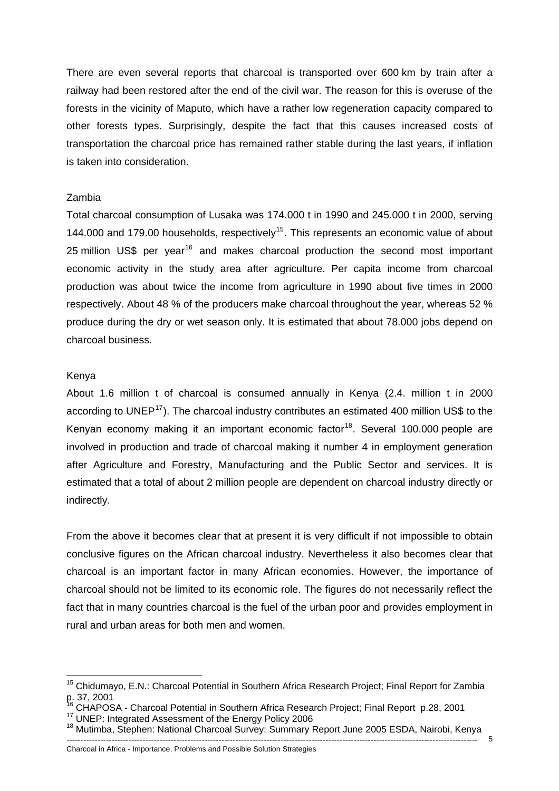There are even several reports that charcoal is transported over 600 km by train after a railway had been restored after the end of the civil war. The reason for this is overuse of the forests in the vicinity of Maputo, which have a rather low regeneration capacity compared to other forests types. Surprisingly, despite the fact that this causes increased costs of transportation the charcoal price has remained rather stable during the last years, if inflation is taken into consideration.

## Zambia

Total charcoal consumption of Lusaka was 174.000 t in 1990 and 245.000 t in 2000, serving 144.000 and 179.00 households, respectively<sup>[15](#page-4-0)</sup>. This represents an economic value of about 25 million US\$ per year<sup>[16](#page-4-1)</sup> and makes charcoal production the second most important economic activity in the study area after agriculture. Per capita income from charcoal production was about twice the income from agriculture in 1990 about five times in 2000 respectively. About 48 % of the producers make charcoal throughout the year, whereas 52 % produce during the dry or wet season only. It is estimated that about 78.000 jobs depend on charcoal business.

## Kenya

1

About 1.6 million t of charcoal is consumed annually in Kenya (2.4. million t in 2000 according to UNEP<sup>[17](#page-4-2)</sup>). The charcoal industry contributes an estimated 400 million US\$ to the Kenyan economy making it an important economic factor<sup>[18](#page-4-3)</sup>. Several 100,000 people are involved in production and trade of charcoal making it number 4 in employment generation after Agriculture and Forestry, Manufacturing and the Public Sector and services. It is estimated that a total of about 2 million people are dependent on charcoal industry directly or indirectly.

From the above it becomes clear that at present it is very difficult if not impossible to obtain conclusive figures on the African charcoal industry. Nevertheless it also becomes clear that charcoal is an important factor in many African economies. However, the importance of charcoal should not be limited to its economic role. The figures do not necessarily reflect the fact that in many countries charcoal is the fuel of the urban poor and provides employment in rural and urban areas for both men and women.

<span id="page-4-0"></span><sup>&</sup>lt;sup>15</sup> Chidumayo, E.N.: Charcoal Potential in Southern Africa Research Project; Final Report for Zambia p. 37, 2001<br><sup>16</sup> CHAPOSA - Charcoal Potential in Southern Africa Research Project; Final Report p.28, 2001

<span id="page-4-1"></span>

<span id="page-4-3"></span>

<span id="page-4-2"></span><sup>&</sup>lt;sup>17</sup> UNEP: Integrated Assessment of the Energy Policy 2006<br><sup>18</sup> Mutimba, Stephen: National Charcoal Survey: Summary Report June 2005 ESDA, Nairobi, Kenya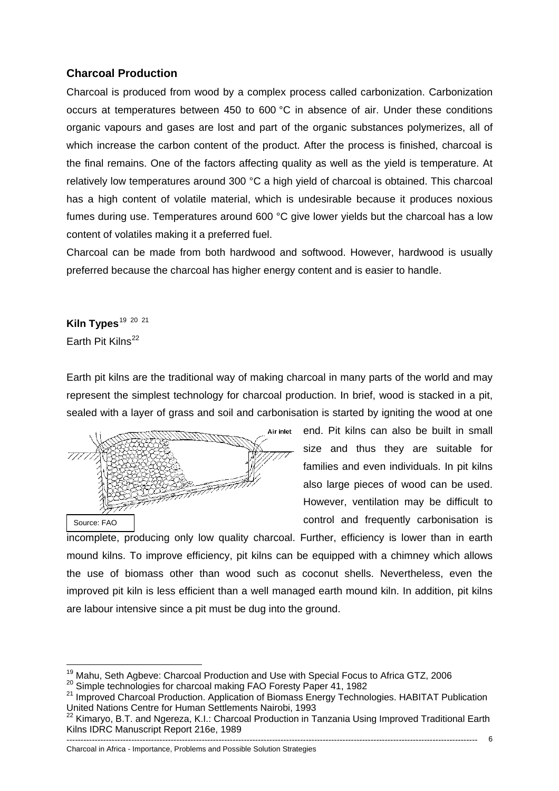## **Charcoal Production**

Charcoal is produced from wood by a complex process called carbonization. Carbonization occurs at temperatures between 450 to 600 °C in absence of air. Under these conditions organic vapours and gases are lost and part of the organic substances polymerizes, all of which increase the carbon content of the product. After the process is finished, charcoal is the final remains. One of the factors affecting quality as well as the yield is temperature. At relatively low temperatures around 300 °C a high yield of charcoal is obtained. This charcoal has a high content of volatile material, which is undesirable because it produces noxious fumes during use. Temperatures around 600 °C give lower yields but the charcoal has a low content of volatiles making it a preferred fuel.

Charcoal can be made from both hardwood and softwood. However, hardwood is usually preferred because the charcoal has higher energy content and is easier to handle.

Kiln Types<sup>[19](#page-5-0) [20](#page-5-1) [21](#page-5-2)</sup> Earth Pit Kilns<sup>[22](#page-5-3)</sup>

Earth pit kilns are the traditional way of making charcoal in many parts of the world and may represent the simplest technology for charcoal production. In brief, wood is stacked in a pit, sealed with a layer of grass and soil and carbonisation is started by igniting the wood at one



end. Pit kilns can also be built in small size and thus they are suitable for families and even individuals. In pit kilns also large pieces of wood can be used. However, ventilation may be difficult to control and frequently carbonisation is

incomplete, producing only low quality charcoal. Further, efficiency is lower than in earth mound kilns. To improve efficiency, pit kilns can be equipped with a chimney which allows the use of biomass other than wood such as coconut shells. Nevertheless, even the improved pit kiln is less efficient than a well managed earth mound kiln. In addition, pit kilns are labour intensive since a pit must be dug into the ground.

<sup>&</sup>lt;sup>19</sup> Mahu, Seth Agbeve: Charcoal Production and Use with Special Focus to Africa GTZ, 2006

<span id="page-5-2"></span>

<span id="page-5-1"></span><span id="page-5-0"></span><sup>20</sup> Simple technologies for charcoal making FAO Foresty Paper 41, 1982<br>
<sup>21</sup> Improved Charcoal Production. Application of Biomass Energy Technologies. HABITAT Publication United Nations Centre for Human Settlements Nairobi, 1993

<span id="page-5-3"></span> $^2$  Kimaryo, B.T. and Ngereza, K.I.: Charcoal Production in Tanzania Using Improved Traditional Earth  $\,$ Kilns IDRC Manuscript Report 216e, 1989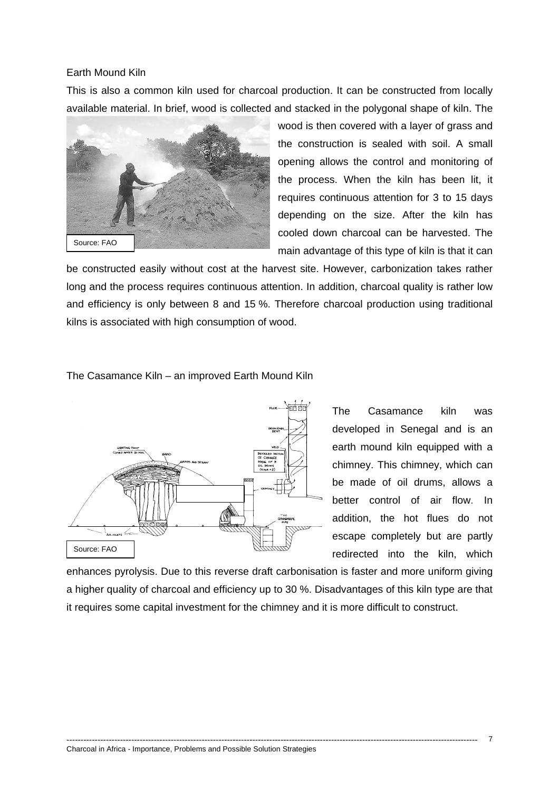### Earth Mound Kiln

This is also a common kiln used for charcoal production. It can be constructed from locally available material. In brief, wood is collected and stacked in the polygonal shape of kiln. The



wood is then covered with a layer of grass and the construction is sealed with soil. A small opening allows the control and monitoring of the process. When the kiln has been lit, it requires continuous attention for 3 to 15 days depending on the size. After the kiln has cooled down charcoal can be harvested. The main advantage of this type of kiln is that it can

be constructed easily without cost at the harvest site. However, carbonization takes rather long and the process requires continuous attention. In addition, charcoal quality is rather low and efficiency is only between 8 and 15 %. Therefore charcoal production using traditional kilns is associated with high consumption of wood.

#### The Casamance Kiln – an improved Earth Mound Kiln



The Casamance kiln was developed in Senegal and is an earth mound kiln equipped with a chimney. This chimney, which can be made of oil drums, allows a better control of air flow. In addition, the hot flues do not escape completely but are partly redirected into the kiln, which

enhances pyrolysis. Due to this reverse draft carbonisation is faster and more uniform giving a higher quality of charcoal and efficiency up to 30 %. Disadvantages of this kiln type are that it requires some capital investment for the chimney and it is more difficult to construct.

--------------------------------------------------------------------------------------------------------------------------------------------------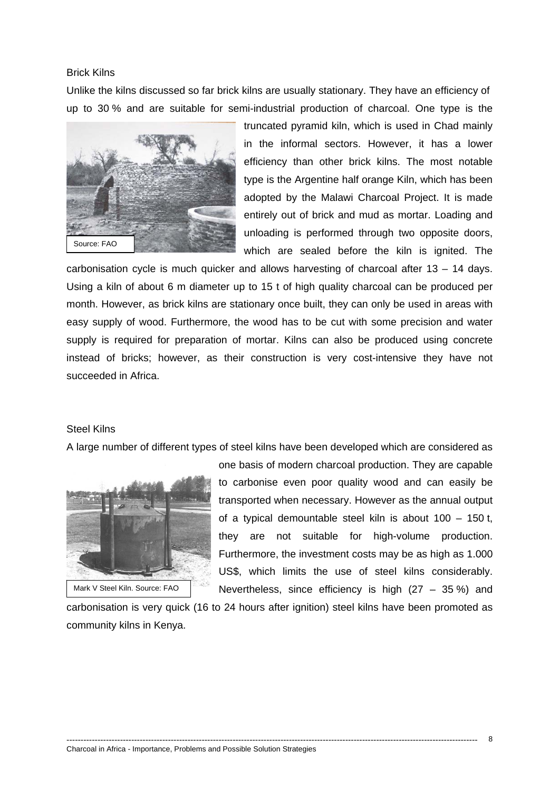## Brick Kilns

Unlike the kilns discussed so far brick kilns are usually stationary. They have an efficiency of up to 30 % and are suitable for semi-industrial production of charcoal. One type is the



truncated pyramid kiln, which is used in Chad mainly in the informal sectors. However, it has a lower efficiency than other brick kilns. The most notable type is the Argentine half orange Kiln, which has been adopted by the Malawi Charcoal Project. It is made entirely out of brick and mud as mortar. Loading and unloading is performed through two opposite doors, which are sealed before the kiln is ignited. The

carbonisation cycle is much quicker and allows harvesting of charcoal after 13 – 14 days. Using a kiln of about 6 m diameter up to 15 t of high quality charcoal can be produced per month. However, as brick kilns are stationary once built, they can only be used in areas with easy supply of wood. Furthermore, the wood has to be cut with some precision and water supply is required for preparation of mortar. Kilns can also be produced using concrete instead of bricks; however, as their construction is very cost-intensive they have not succeeded in Africa.

### Steel Kilns

A large number of different types of steel kilns have been developed which are considered as



Mark V Steel Kiln. Source: FAO

one basis of modern charcoal production. They are capable to carbonise even poor quality wood and can easily be transported when necessary. However as the annual output of a typical demountable steel kiln is about 100 – 150 t, they are not suitable for high-volume production. Furthermore, the investment costs may be as high as 1.000 US\$, which limits the use of steel kilns considerably. Nevertheless, since efficiency is high  $(27 - 35\%)$  and

carbonisation is very quick (16 to 24 hours after ignition) steel kilns have been promoted as community kilns in Kenya.

--------------------------------------------------------------------------------------------------------------------------------------------------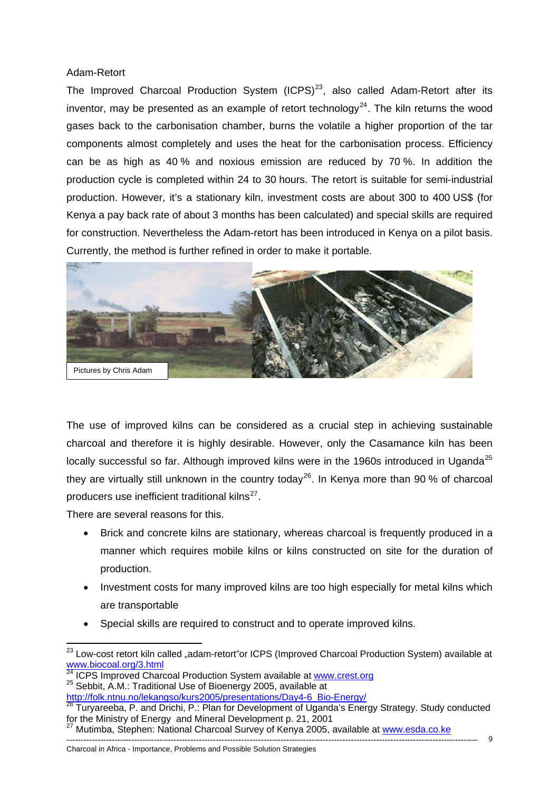## Adam-Retort

The Improved Charcoal Production System  $(ICPS)^{23}$  $(ICPS)^{23}$  $(ICPS)^{23}$ , also called Adam-Retort after its inventor, may be presented as an example of retort technology<sup>[24](#page-8-1)</sup>. The kiln returns the wood gases back to the carbonisation chamber, burns the volatile a higher proportion of the tar components almost completely and uses the heat for the carbonisation process. Efficiency can be as high as 40 % and noxious emission are reduced by 70 %. In addition the production cycle is completed within 24 to 30 hours. The retort is suitable for semi-industrial production. However, it's a stationary kiln, investment costs are about 300 to 400 US\$ (for Kenya a pay back rate of about 3 months has been calculated) and special skills are required for construction. Nevertheless the Adam-retort has been introduced in Kenya on a pilot basis. Currently, the method is further refined in order to make it portable.



The use of improved kilns can be considered as a crucial step in achieving sustainable charcoal and therefore it is highly desirable. However, only the Casamance kiln has been locally successful so far. Although improved kilns were in the 1960s introduced in Uganda<sup>[25](#page-8-2)</sup> they are virtually still unknown in the country today<sup>[26](#page-8-3)</sup>. In Kenya more than 90 % of charcoal producers use inefficient traditional kilns $^{27}$  $^{27}$  $^{27}$ .

There are several reasons for this.

- Brick and concrete kilns are stationary, whereas charcoal is frequently produced in a manner which requires mobile kilns or kilns constructed on site for the duration of production.
- Investment costs for many improved kilns are too high especially for metal kilns which are transportable
- Special skills are required to construct and to operate improved kilns.

<span id="page-8-0"></span><sup>1</sup> <sup>23</sup> Low-cost retort kiln called "adam-retort"or ICPS (Improved Charcoal Production System) available at www.biocoal.org/3.html<br> $\frac{24 \text{ IODC}}{24 \text{ IODC}}$ 

<span id="page-8-2"></span><span id="page-8-1"></span><sup>&</sup>lt;sup>[24](http://www.biocoal.org/3.html)</sup> ICPS Improved Charcoal Production System available at [www.crest.org](http://www.crest.org/) <sup>25</sup> Sebbit, A.M.: Traditional Use of Bioenergy 2005, availabl[e at](http://www.crest.org/) http://folk.ntnu.no/lekangso/kurs2005/presentations/Day4-6 Bio-Energy/

<span id="page-8-3"></span><sup>&</sup>lt;sup>26</sup> Turyareeba, P. and Drichi, P.: Plan for Development of Uganda's Energy Strategy. Study conducted for the Ministry of Energy and Mineral Development p. 21, 2001

<span id="page-8-4"></span><sup>&</sup>lt;sup>27</sup> Mutimba, Stephen: National Charcoal Survey of Kenya 2005, available at www.esda.co.ke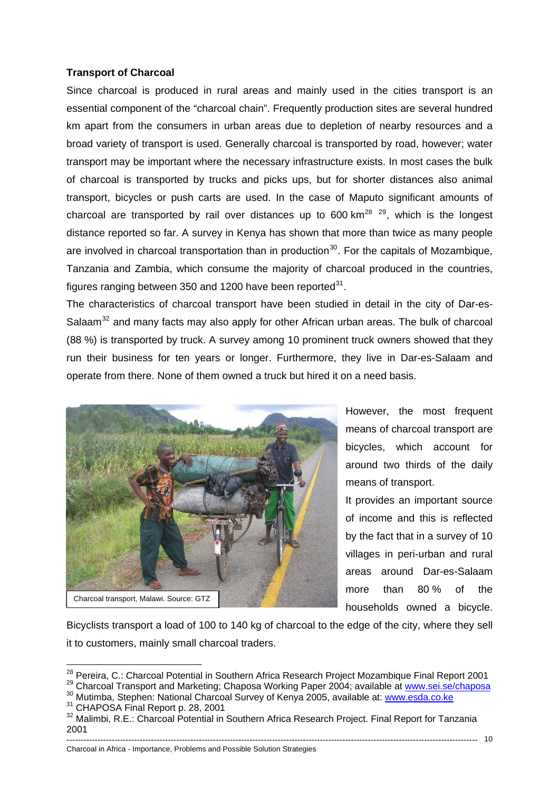## **Transport of Charcoal**

Since charcoal is produced in rural areas and mainly used in the cities transport is an essential component of the "charcoal chain". Frequently production sites are several hundred km apart from the consumers in urban areas due to depletion of nearby resources and a broad variety of transport is used. Generally charcoal is transported by road, however; water transport may be important where the necessary infrastructure exists. In most cases the bulk of charcoal is transported by trucks and picks ups, but for shorter distances also animal transport, bicycles or push carts are used. In the case of Maputo significant amounts of charcoal are transported by rail over distances up to 600 km<sup>[28](#page-9-0) [29](#page-9-1)</sup>, which is the longest distance reported so far. A survey in Kenya has shown that more than twice as many people are involved in charcoal transportation than in production<sup>[30](#page-9-2)</sup>. For the capitals of Mozambique, Tanzania and Zambia, which consume the majority of charcoal produced in the countries, figures ranging between 350 and 1200 have been reported $31$ .

The characteristics of charcoal transport have been studied in detail in the city of Dar-es-Salaam<sup>[32](#page-9-4)</sup> and many facts may also apply for other African urban areas. The bulk of charcoal (88 %) is transported by truck. A survey among 10 prominent truck owners showed that they run their business for ten years or longer. Furthermore, they live in Dar-es-Salaam and operate from there. None of them owned a truck but hired it on a need basis.



However, the most frequent means of charcoal transport are bicycles, which account for around two thirds of the daily means of transport.

It provides an important source of income and this is reflected by the fact that in a survey of 10 villages in peri-urban and rural areas around Dar-es-Salaam more than 80 % of the households owned a bicycle.

Bicyclists transport a load of 100 to 140 kg of charcoal to the edge of the city, where they sell it to customers, mainly small charcoal traders.

<span id="page-9-0"></span><sup>&</sup>lt;sup>28</sup> Pereira, C.: Charcoal Potential in Southern Africa Research Project Mozambique Final Report 2001

<span id="page-9-1"></span><sup>&</sup>lt;sup>29</sup> Charcoal Transport and Marketing; Chaposa Working Paper 2004; available at [www.sei.se/chaposa](http://www.sei.se/chaposa)<br><sup>30</sup> Mutimba, Stephen: National Charcoal Survey of Kenya 2005, available at: www.esda.co.ke<br><sup>31</sup> CHAPOSA Final Report p. 28

<span id="page-9-2"></span>

<span id="page-9-4"></span><span id="page-9-3"></span><sup>&</sup>lt;sup>32</sup> Malimbi, R.E.: Charcoal Potential in Southern Africa Research Project. Final Report for Tanzania 2001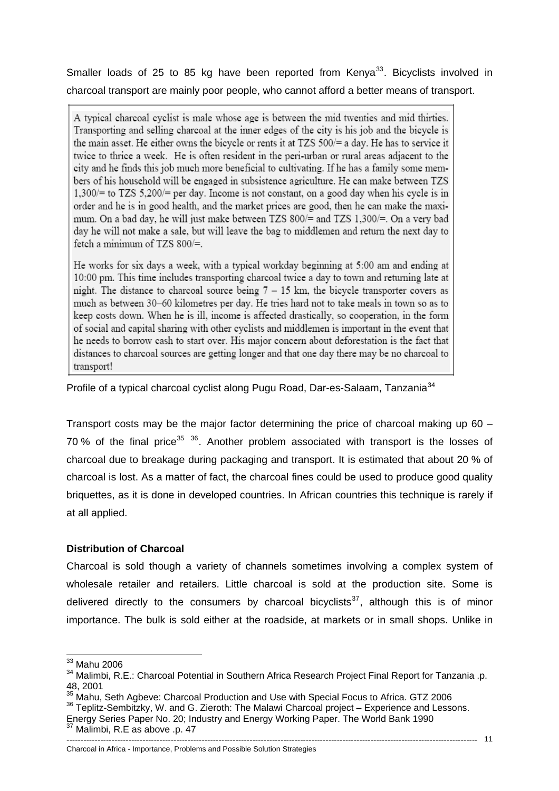charcoal transport are mainly poor people, who cannot afford a better means of transport. Smaller loads of 25 to 85 kg have been reported from Kenya<sup>[33](#page-10-0)</sup>. Bicyclists involved in

A typical charcoal cyclist is male whose age is between the mid twenties and mid thirties. Transporting and selling charcoal at the inner edges of the city is his job and the bicycle is the main asset. He either owns the bicycle or rents it at TZS 500/= a day. He has to service it twice to thrice a week. He is often resident in the peri-urban or rural areas adiacent to the city and he finds this job much more beneficial to cultivating. If he has a family some members of his household will be engaged in subsistence agriculture. He can make between TZS  $1,300/$ = to TZS 5,200/= per day. Income is not constant, on a good day when his cycle is in order and he is in good health, and the market prices are good, then he can make the maximum. On a bad day, he will just make between TZS 800/= and TZS 1,300/=. On a very bad day he will not make a sale, but will leave the bag to middlemen and return the next day to fetch a minimum of TZS  $800/=$ .

He works for six days a week, with a typical workday beginning at 5:00 am and ending at 10:00 pm. This time includes transporting charcoal twice a day to town and returning late at night. The distance to charcoal source being  $7 - 15$  km, the bicycle transporter covers as much as between 30-60 kilometres per day. He tries hard not to take meals in town so as to keep costs down. When he is ill, income is affected drastically, so cooperation, in the form of social and capital sharing with other cyclists and middlemen is important in the event that he needs to borrow cash to start over. His major concern about deforestation is the fact that distances to charcoal sources are getting longer and that one day there may be no charcoal to transport!

Profile of a typical charcoal cyclist along Pugu Road, Dar-es-Salaam, Tanzania<sup>[34](#page-10-1)</sup>

Transport costs may be the major factor determining the price of charcoal making up 60 – 70 % of the final price<sup>[35](#page-10-2) [36](#page-10-3)</sup>. Another problem associated with transport is the losses of charcoal due to breakage during packaging and transport. It is estimated that about 20 % of charcoal is lost. As a matter of fact, the charcoal fines could be used to produce good quality briquettes, as it is done in developed countries. In African countries this technique is rarely if at all applied.

## **Distribution of Charcoal**

Charcoal is sold though a variety of channels sometimes involving a complex system of wholesale retailer and retailers. Little charcoal is sold at the production site. Some is delivered directly to the consumers by charcoal bicyclists<sup>[37](#page-10-4)</sup>, although this is of minor importance. The bulk is sold either at the roadside, at markets or in small shops. Unlike in

1

#### -------------------------------------------------------------------------------------------------------------------------------------------------- Charcoal in Africa - Importance, Problems and Possible Solution Strategies

<span id="page-10-0"></span> $33$  Mahu 2006

<span id="page-10-1"></span><sup>&</sup>lt;sup>34</sup> Malimbi, R.E.: Charcoal Potential in Southern Africa Research Project Final Report for Tanzania .p. 48, 2001<br><sup>35</sup> Mahu, Seth Agbeve: Charcoal Production and Use with Special Focus to Africa. GTZ 2006

<span id="page-10-3"></span><span id="page-10-2"></span><sup>36</sup> Teplitz-Sembitzky, W. and G. Zieroth: The Malawi Charcoal project – Experience and Lessons. Energy Series Paper No. 20; Industry and Energy Working Paper. The World Bank 1990

<span id="page-10-4"></span><sup>37</sup> Malimbi, R.E as above .p. 47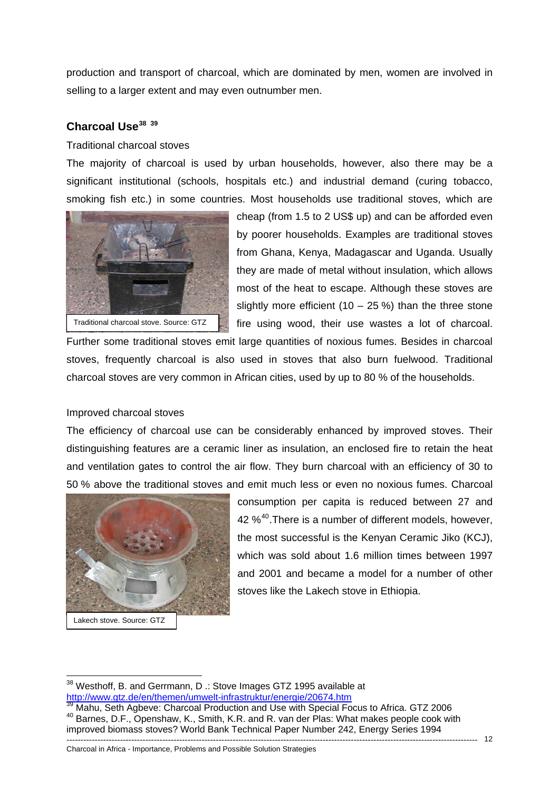production and transport of charcoal, which are dominated by men, women are involved in selling to a larger extent and may even outnumber men.

## **Charcoal Use[38](#page-11-0) [39](#page-11-1)**

## Traditional charcoal stoves

The majority of charcoal is used by urban households, however, also there may be a significant institutional (schools, hospitals etc.) and industrial demand (curing tobacco, smoking fish etc.) in some countries. Most households use traditional stoves, which are



cheap (from 1.5 to 2 US\$ up) and can be afforded even by poorer households. Examples are traditional stoves from Ghana, Kenya, Madagascar and Uganda. Usually they are made of metal without insulation, which allows most of the heat to escape. Although these stoves are slightly more efficient (10 – 25 %) than the three stone fire using wood, their use wastes a lot of charcoal.

Further some traditional stoves emit large quantities of noxious fumes. Besides in charcoal stoves, frequently charcoal is also used in stoves that also burn fuelwood. Traditional charcoal stoves are very common in African cities, used by up to 80 % of the households.

## Improved charcoal stoves

The efficiency of charcoal use can be considerably enhanced by improved stoves. Their distinguishing features are a ceramic liner as insulation, an enclosed fire to retain the heat and ventilation gates to control the air flow. They burn charcoal with an efficiency of 30 to 50 % above the traditional stoves and emit much less or even no noxious fumes. Charcoal



Lakech stove. Source: GTZ

1

consumption per capita is reduced between 27 and 42 %<sup>[40](#page-11-2)</sup>. There is a number of different models, however, the most successful is the Kenyan Ceramic Jiko (KCJ), which was sold about 1.6 million times between 1997 and 2001 and became a model for a number of other stoves like the Lakech stove in Ethiopia.

<span id="page-11-0"></span> $38$  Westhoff, B. and Gerrmann, D .: Stove Images GTZ 1995 available at <http://www.gtz.de/en/themen/umwelt-infrastruktur/energie/20674.htm><br><sup>39</sup> Mahu, Seth Agbeve: Charcoal Production and Use with Special Focus to Africa. GTZ 2006

<span id="page-11-2"></span><span id="page-11-1"></span><sup>40</sup> Barnes, D.F., Openshaw, K., Smith, K.R. and R. van der Plas: What makes people cook with improved biomass stoves? World Bank Technical Paper Number 242, Energy Series 1994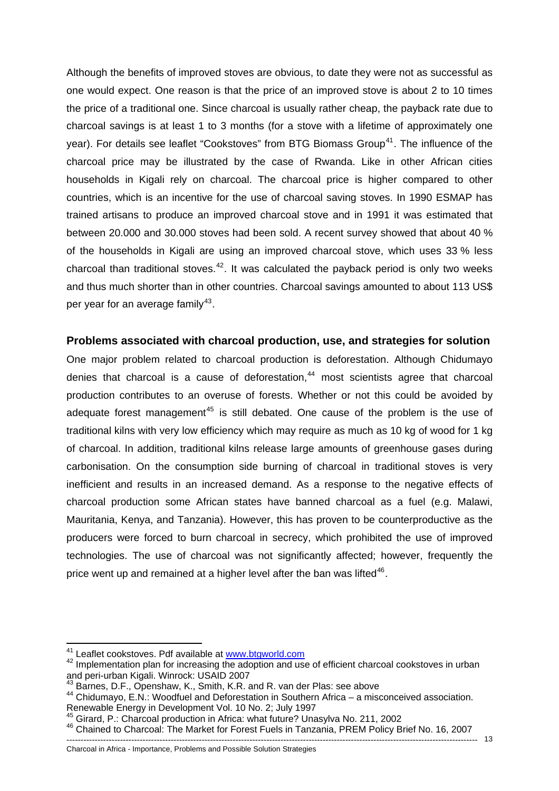Although the benefits of improved stoves are obvious, to date they were not as successful as one would expect. One reason is that the price of an improved stove is about 2 to 10 times the price of a traditional one. Since charcoal is usually rather cheap, the payback rate due to charcoal savings is at least 1 to 3 months (for a stove with a lifetime of approximately one year). For details see leaflet "Cookstoves" from BTG Biomass Group<sup>[41](#page-12-0)</sup>. The influence of the charcoal price may be illustrated by the case of Rwanda. Like in other African cities households in Kigali rely on charcoal. The charcoal price is higher compared to other countries, which is an incentive for the use of charcoal saving stoves. In 1990 ESMAP has trained artisans to produce an improved charcoal stove and in 1991 it was estimated that between 20.000 and 30.000 stoves had been sold. A recent survey showed that about 40 % of the households in Kigali are using an improved charcoal stove, which uses 33 % less charcoal than traditional stoves. $42$ . It was calculated the payback period is only two weeks and thus much shorter than in other countries. Charcoal savings amounted to about 113 US\$ per year for an average family<sup>[43](#page-12-2)</sup>.

## **Problems associated with charcoal production, use, and strategies for solution**

One major problem related to charcoal production is deforestation. Although Chidumayo denies that charcoal is a cause of deforestation. $44$  most scientists agree that charcoal production contributes to an overuse of forests. Whether or not this could be avoided by adequate forest management<sup>[45](#page-12-4)</sup> is still debated. One cause of the problem is the use of traditional kilns with very low efficiency which may require as much as 10 kg of wood for 1 kg of charcoal. In addition, traditional kilns release large amounts of greenhouse gases during carbonisation. On the consumption side burning of charcoal in traditional stoves is very inefficient and results in an increased demand. As a response to the negative effects of charcoal production some African states have banned charcoal as a fuel (e.g. Malawi, Mauritania, Kenya, and Tanzania). However, this has proven to be counterproductive as the producers were forced to burn charcoal in secrecy, which prohibited the use of improved technologies. The use of charcoal was not significantly affected; however, frequently the price went up and remained at a higher level after the ban was lifted<sup>[46](#page-12-5)</sup>.

<sup>&</sup>lt;sup>41</sup> Leaflet cookstoves. Pdf available at www.btgworld.com

<span id="page-12-1"></span><span id="page-12-0"></span><sup>&</sup>lt;sup>42</sup> Implementation plan for increasing t[he adoption and us](http://www.btgworld.com/)e of efficient charcoal cookstoves in urban and peri-urban Kigali. Winrock: USAID 2007

Barnes, D.F., Openshaw, K., Smith, K.R. and R. van der Plas: see above

<span id="page-12-3"></span><span id="page-12-2"></span><sup>44</sup> Chidumayo, E.N.: Woodfuel and Deforestation in Southern Africa – a misconceived association. Renewable Energy in Development Vol. 10 No. 2; July 1997<br><sup>45</sup> Girard, P.: Charcoal production in Africa: what future? Unasylva No. 211, 2002

<span id="page-12-4"></span>

<span id="page-12-5"></span><sup>--------------------------------------------------------------------------------------------------------------------------------------------------</sup>  <sup>46</sup> Chained to Charcoal: The Market for Forest Fuels in Tanzania, PREM Policy Brief No. 16, 2007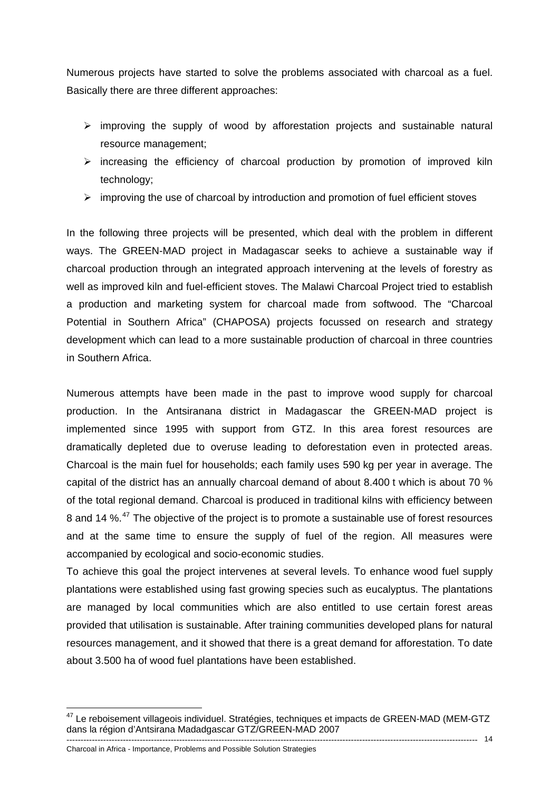Numerous projects have started to solve the problems associated with charcoal as a fuel. Basically there are three different approaches:

- $\triangleright$  improving the supply of wood by afforestation projects and sustainable natural resource management;
- $\triangleright$  increasing the efficiency of charcoal production by promotion of improved kiln technology;
- $\triangleright$  improving the use of charcoal by introduction and promotion of fuel efficient stoves

In the following three projects will be presented, which deal with the problem in different ways. The GREEN-MAD project in Madagascar seeks to achieve a sustainable way if charcoal production through an integrated approach intervening at the levels of forestry as well as improved kiln and fuel-efficient stoves. The Malawi Charcoal Project tried to establish a production and marketing system for charcoal made from softwood. The "Charcoal Potential in Southern Africa" (CHAPOSA) projects focussed on research and strategy development which can lead to a more sustainable production of charcoal in three countries in Southern Africa.

Numerous attempts have been made in the past to improve wood supply for charcoal production. In the Antsiranana district in Madagascar the GREEN-MAD project is implemented since 1995 with support from GTZ. In this area forest resources are dramatically depleted due to overuse leading to deforestation even in protected areas. Charcoal is the main fuel for households; each family uses 590 kg per year in average. The capital of the district has an annually charcoal demand of about 8.400 t which is about 70 % of the total regional demand. Charcoal is produced in traditional kilns with efficiency between 8 and 14 %.<sup>[47](#page-13-0)</sup> The objective of the project is to promote a sustainable use of forest resources and at the same time to ensure the supply of fuel of the region. All measures were accompanied by ecological and socio-economic studies.

To achieve this goal the project intervenes at several levels. To enhance wood fuel supply plantations were established using fast growing species such as eucalyptus. The plantations are managed by local communities which are also entitled to use certain forest areas provided that utilisation is sustainable. After training communities developed plans for natural resources management, and it showed that there is a great demand for afforestation. To date about 3.500 ha of wood fuel plantations have been established.

1

<span id="page-13-0"></span><sup>--------------------------------------------------------------------------------------------------------------------------------------------------</sup>  14 <sup>47</sup> Le reboisement villageois individuel. Stratégies, techniques et impacts de GREEN-MAD (MEM-GTZ dans la région d'Antsirana Madadgascar GTZ/GREEN-MAD 2007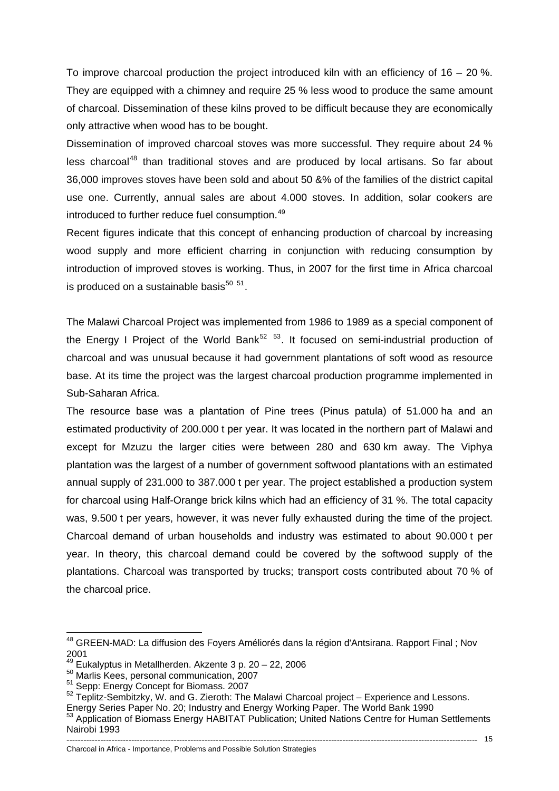To improve charcoal production the project introduced kiln with an efficiency of  $16 - 20$  %. They are equipped with a chimney and require 25 % less wood to produce the same amount of charcoal. Dissemination of these kilns proved to be difficult because they are economically only attractive when wood has to be bought.

Dissemination of improved charcoal stoves was more successful. They require about 24 % less charcoal<sup>[48](#page-14-0)</sup> than traditional stoves and are produced by local artisans. So far about 36,000 improves stoves have been sold and about 50 &% of the families of the district capital use one. Currently, annual sales are about 4.000 stoves. In addition, solar cookers are introduced to further reduce fuel consumption.<sup>[49](#page-14-1)</sup>

Recent figures indicate that this concept of enhancing production of charcoal by increasing wood supply and more efficient charring in conjunction with reducing consumption by introduction of improved stoves is working. Thus, in 2007 for the first time in Africa charcoal is produced on a sustainable basis $50$   $51$ .

The Malawi Charcoal Project was implemented from 1986 to 1989 as a special component of the Energy I Project of the World Bank<sup>[52](#page-14-4) [53](#page-14-5)</sup>. It focused on semi-industrial production of charcoal and was unusual because it had government plantations of soft wood as resource base. At its time the project was the largest charcoal production programme implemented in Sub-Saharan Africa.

The resource base was a plantation of Pine trees (Pinus patula) of 51.000 ha and an estimated productivity of 200.000 t per year. It was located in the northern part of Malawi and except for Mzuzu the larger cities were between 280 and 630 km away. The Viphya plantation was the largest of a number of government softwood plantations with an estimated annual supply of 231.000 to 387.000 t per year. The project established a production system for charcoal using Half-Orange brick kilns which had an efficiency of 31 %. The total capacity was, 9.500 t per years, however, it was never fully exhausted during the time of the project. Charcoal demand of urban households and industry was estimated to about 90.000 t per year. In theory, this charcoal demand could be covered by the softwood supply of the plantations. Charcoal was transported by trucks; transport costs contributed about 70 % of the charcoal price.

1

<span id="page-14-0"></span><sup>&</sup>lt;sup>48</sup> GREEN-MAD: La diffusion des Foyers Améliorés dans la région d'Antsirana. Rapport Final ; Nov 2001<br> $49$  Eukalvotus in Metallherden. Akzente 3 p. 20 - 22, 2006

<span id="page-14-3"></span><span id="page-14-2"></span><span id="page-14-1"></span><sup>&</sup>lt;sup>50</sup> Marlis Kees, personal communication, 2007<br><sup>51</sup> Sepp: Energy Concept for Biomass. 2007<br><sup>52</sup> Teplitz-Sembitzky, W. and G. Zieroth: The Malawi Charcoal project – Experience and Lessons.

<span id="page-14-4"></span>Energy Series Paper No. 20; Industry and Energy Working Paper. The World Bank 1990

<span id="page-14-5"></span><sup>53</sup> Application of Biomass Energy HABITAT Publication; United Nations Centre for Human Settlements Nairobi 1993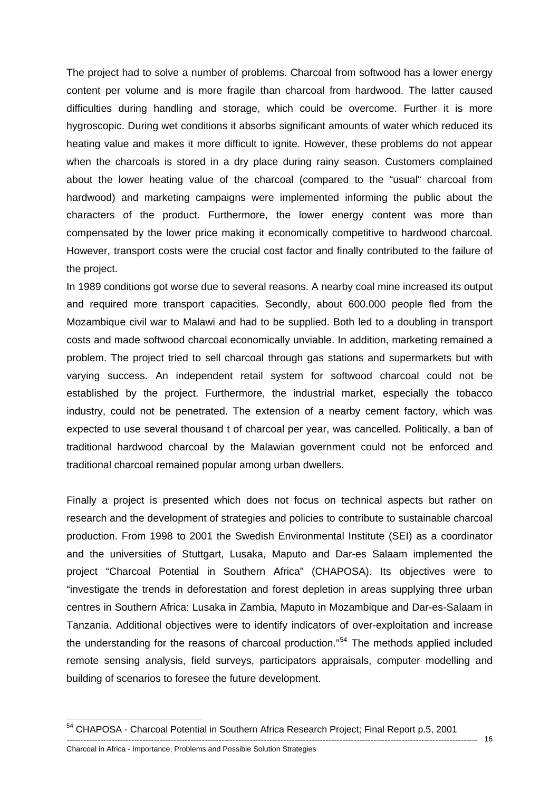The project had to solve a number of problems. Charcoal from softwood has a lower energy content per volume and is more fragile than charcoal from hardwood. The latter caused difficulties during handling and storage, which could be overcome. Further it is more hygroscopic. During wet conditions it absorbs significant amounts of water which reduced its heating value and makes it more difficult to ignite. However, these problems do not appear when the charcoals is stored in a dry place during rainy season. Customers complained about the lower heating value of the charcoal (compared to the "usual" charcoal from hardwood) and marketing campaigns were implemented informing the public about the characters of the product. Furthermore, the lower energy content was more than compensated by the lower price making it economically competitive to hardwood charcoal. However, transport costs were the crucial cost factor and finally contributed to the failure of the project.

In 1989 conditions got worse due to several reasons. A nearby coal mine increased its output and required more transport capacities. Secondly, about 600.000 people fled from the Mozambique civil war to Malawi and had to be supplied. Both led to a doubling in transport costs and made softwood charcoal economically unviable. In addition, marketing remained a problem. The project tried to sell charcoal through gas stations and supermarkets but with varying success. An independent retail system for softwood charcoal could not be established by the project. Furthermore, the industrial market, especially the tobacco industry, could not be penetrated. The extension of a nearby cement factory, which was expected to use several thousand t of charcoal per year, was cancelled. Politically, a ban of traditional hardwood charcoal by the Malawian government could not be enforced and traditional charcoal remained popular among urban dwellers.

Finally a project is presented which does not focus on technical aspects but rather on research and the development of strategies and policies to contribute to sustainable charcoal production. From 1998 to 2001 the Swedish Environmental Institute (SEI) as a coordinator and the universities of Stuttgart, Lusaka, Maputo and Dar-es Salaam implemented the project "Charcoal Potential in Southern Africa" (CHAPOSA). Its objectives were to "investigate the trends in deforestation and forest depletion in areas supplying three urban centres in Southern Africa: Lusaka in Zambia, Maputo in Mozambique and Dar-es-Salaam in Tanzania. Additional objectives were to identify indicators of over-exploitation and increase the understanding for the reasons of charcoal production."<sup>[54](#page-15-0)</sup> The methods applied included remote sensing analysis, field surveys, participators appraisals, computer modelling and building of scenarios to foresee the future development.

--------------------------------------------------------------------------------------------------------------------------------------------------

1

<span id="page-15-0"></span><sup>54</sup> CHAPOSA - Charcoal Potential in Southern Africa Research Project; Final Report p.5, 2001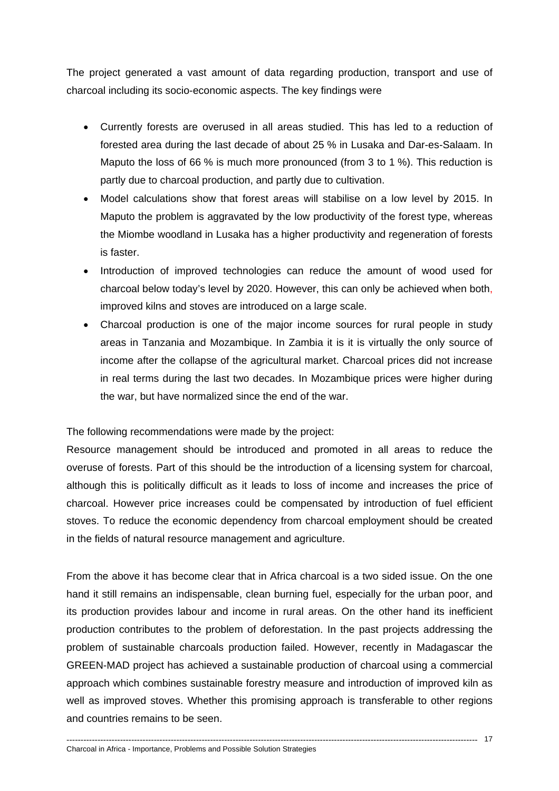The project generated a vast amount of data regarding production, transport and use of charcoal including its socio-economic aspects. The key findings were

- Currently forests are overused in all areas studied. This has led to a reduction of forested area during the last decade of about 25 % in Lusaka and Dar-es-Salaam. In Maputo the loss of 66 % is much more pronounced (from 3 to 1 %). This reduction is partly due to charcoal production, and partly due to cultivation.
- Model calculations show that forest areas will stabilise on a low level by 2015. In Maputo the problem is aggravated by the low productivity of the forest type, whereas the Miombe woodland in Lusaka has a higher productivity and regeneration of forests is faster.
- Introduction of improved technologies can reduce the amount of wood used for charcoal below today's level by 2020. However, this can only be achieved when both, improved kilns and stoves are introduced on a large scale.
- Charcoal production is one of the major income sources for rural people in study areas in Tanzania and Mozambique. In Zambia it is it is virtually the only source of income after the collapse of the agricultural market. Charcoal prices did not increase in real terms during the last two decades. In Mozambique prices were higher during the war, but have normalized since the end of the war.

The following recommendations were made by the project:

Resource management should be introduced and promoted in all areas to reduce the overuse of forests. Part of this should be the introduction of a licensing system for charcoal, although this is politically difficult as it leads to loss of income and increases the price of charcoal. However price increases could be compensated by introduction of fuel efficient stoves. To reduce the economic dependency from charcoal employment should be created in the fields of natural resource management and agriculture.

From the above it has become clear that in Africa charcoal is a two sided issue. On the one hand it still remains an indispensable, clean burning fuel, especially for the urban poor, and its production provides labour and income in rural areas. On the other hand its inefficient production contributes to the problem of deforestation. In the past projects addressing the problem of sustainable charcoals production failed. However, recently in Madagascar the GREEN-MAD project has achieved a sustainable production of charcoal using a commercial approach which combines sustainable forestry measure and introduction of improved kiln as well as improved stoves. Whether this promising approach is transferable to other regions and countries remains to be seen.